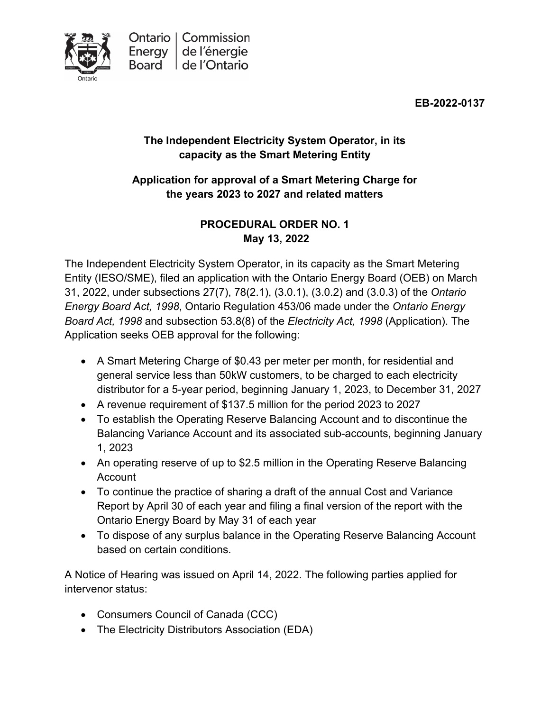

**EB-2022-0137**

# **The Independent Electricity System Operator, in its capacity as the Smart Metering Entity**

# **Application for approval of a Smart Metering Charge for the years 2023 to 2027 and related matters**

# **PROCEDURAL ORDER NO. 1 May 13, 2022**

The Independent Electricity System Operator, in its capacity as the Smart Metering Entity (IESO/SME), filed an application with the Ontario Energy Board (OEB) on March 31, 2022, under subsections 27(7), 78(2.1), (3.0.1), (3.0.2) and (3.0.3) of the *Ontario Energy Board Act, 1998*, Ontario Regulation 453/06 made under the *Ontario Energy Board Act, 1998* and subsection 53.8(8) of the *Electricity Act, 1998* (Application). The Application seeks OEB approval for the following:

- A Smart Metering Charge of \$0.43 per meter per month, for residential and general service less than 50kW customers, to be charged to each electricity distributor for a 5-year period, beginning January 1, 2023, to December 31, 2027
- A revenue requirement of \$137.5 million for the period 2023 to 2027
- To establish the Operating Reserve Balancing Account and to discontinue the Balancing Variance Account and its associated sub-accounts, beginning January 1, 2023
- An operating reserve of up to \$2.5 million in the Operating Reserve Balancing Account
- To continue the practice of sharing a draft of the annual Cost and Variance Report by April 30 of each year and filing a final version of the report with the Ontario Energy Board by May 31 of each year
- To dispose of any surplus balance in the Operating Reserve Balancing Account based on certain conditions.

A Notice of Hearing was issued on April 14, 2022. The following parties applied for intervenor status:

- Consumers Council of Canada (CCC)
- The Electricity Distributors Association (EDA)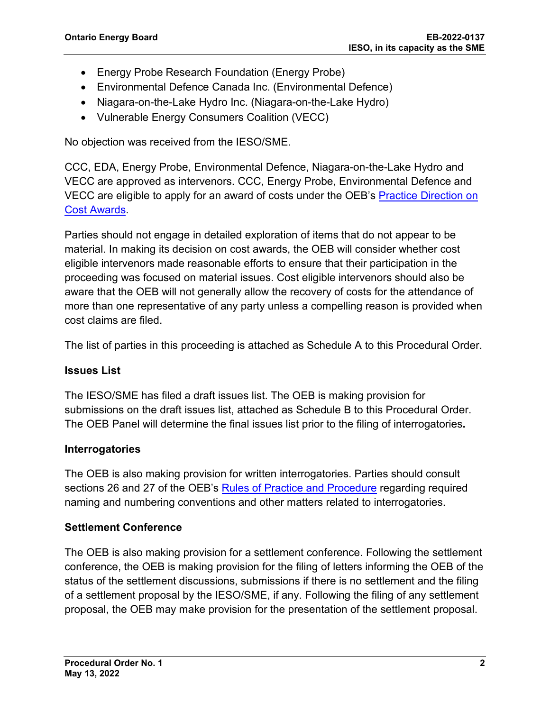- Energy Probe Research Foundation (Energy Probe)
- Environmental Defence Canada Inc. (Environmental Defence)
- Niagara-on-the-Lake Hydro Inc. (Niagara-on-the-Lake Hydro)
- Vulnerable Energy Consumers Coalition (VECC)

No objection was received from the IESO/SME.

CCC, EDA, Energy Probe, Environmental Defence, Niagara-on-the-Lake Hydro and VECC are approved as intervenors. CCC, Energy Probe, Environmental Defence and VECC are eligible to apply for an award of costs under the OEB's [Practice Direction on](https://www.oeb.ca/industry/rules-codes-and-requirements/practice-direction-cost-awards)  [Cost Awards.](https://www.oeb.ca/industry/rules-codes-and-requirements/practice-direction-cost-awards)

Parties should not engage in detailed exploration of items that do not appear to be material. In making its decision on cost awards, the OEB will consider whether cost eligible intervenors made reasonable efforts to ensure that their participation in the proceeding was focused on material issues. Cost eligible intervenors should also be aware that the OEB will not generally allow the recovery of costs for the attendance of more than one representative of any party unless a compelling reason is provided when cost claims are filed.

The list of parties in this proceeding is attached as Schedule A to this Procedural Order.

#### **Issues List**

The IESO/SME has filed a draft issues list. The OEB is making provision for submissions on the draft issues list, attached as Schedule B to this Procedural Order. The OEB Panel will determine the final issues list prior to the filing of interrogatories**.**

#### **Interrogatories**

The OEB is also making provision for written interrogatories. Parties should consult sections 26 and 27 of the OEB's [Rules of Practice and Procedure](https://www.oeb.ca/industry/rules-codes-and-requirements/rules-practice-procedure) regarding required naming and numbering conventions and other matters related to interrogatories.

## **Settlement Conference**

The OEB is also making provision for a settlement conference. Following the settlement conference, the OEB is making provision for the filing of letters informing the OEB of the status of the settlement discussions, submissions if there is no settlement and the filing of a settlement proposal by the IESO/SME, if any. Following the filing of any settlement proposal, the OEB may make provision for the presentation of the settlement proposal.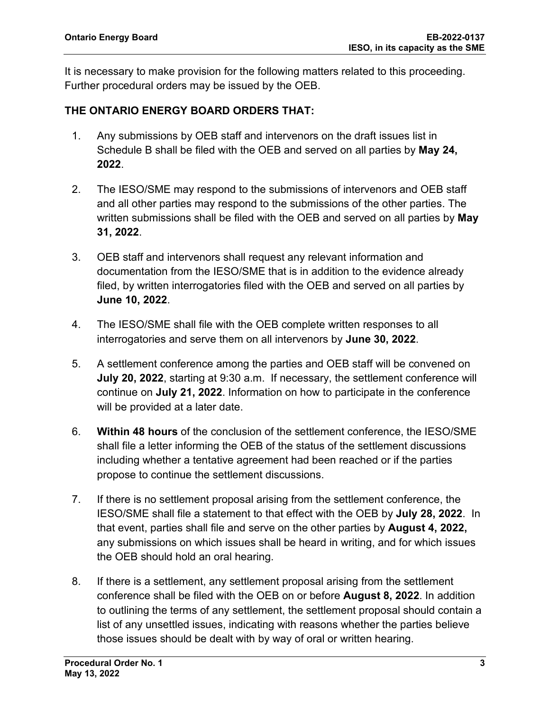It is necessary to make provision for the following matters related to this proceeding. Further procedural orders may be issued by the OEB.

## **THE ONTARIO ENERGY BOARD ORDERS THAT:**

- 1. Any submissions by OEB staff and intervenors on the draft issues list in Schedule B shall be filed with the OEB and served on all parties by **May 24, 2022**.
- 2. The IESO/SME may respond to the submissions of intervenors and OEB staff and all other parties may respond to the submissions of the other parties. The written submissions shall be filed with the OEB and served on all parties by **May 31, 2022**.
- 3. OEB staff and intervenors shall request any relevant information and documentation from the IESO/SME that is in addition to the evidence already filed, by written interrogatories filed with the OEB and served on all parties by **June 10, 2022**.
- 4. The IESO/SME shall file with the OEB complete written responses to all interrogatories and serve them on all intervenors by **June 30, 2022**.
- 5. A settlement conference among the parties and OEB staff will be convened on **July 20, 2022**, starting at 9:30 a.m. If necessary, the settlement conference will continue on **July 21, 2022**. Information on how to participate in the conference will be provided at a later date.
- 6. **Within 48 hours** of the conclusion of the settlement conference, the IESO/SME shall file a letter informing the OEB of the status of the settlement discussions including whether a tentative agreement had been reached or if the parties propose to continue the settlement discussions.
- 7. If there is no settlement proposal arising from the settlement conference, the IESO/SME shall file a statement to that effect with the OEB by **July 28, 2022**. In that event, parties shall file and serve on the other parties by **August 4, 2022,** any submissions on which issues shall be heard in writing, and for which issues the OEB should hold an oral hearing.
- 8. If there is a settlement, any settlement proposal arising from the settlement conference shall be filed with the OEB on or before **August 8, 2022**. In addition to outlining the terms of any settlement, the settlement proposal should contain a list of any unsettled issues, indicating with reasons whether the parties believe those issues should be dealt with by way of oral or written hearing.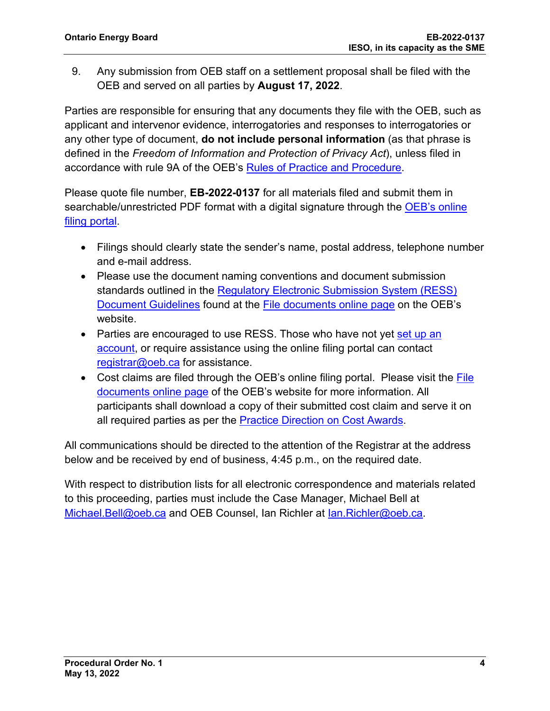9. Any submission from OEB staff on a settlement proposal shall be filed with the OEB and served on all parties by **August 17, 2022**.

Parties are responsible for ensuring that any documents they file with the OEB, such as applicant and intervenor evidence, interrogatories and responses to interrogatories or any other type of document, **do not include personal information** (as that phrase is defined in the *Freedom of Information and Protection of Privacy Act*), unless filed in accordance with rule 9A of the OEB's [Rules of Practice and Procedure.](https://www.oeb.ca/industry/rules-codes-and-requirements/rules-practice-procedure)

Please quote file number, **EB-2022-0137** for all materials filed and submit them in searchable/unrestricted PDF format with a digital signature through the OEB's online [filing portal.](https://p-pes.ontarioenergyboard.ca/PivotalUX/)

- Filings should clearly state the sender's name, postal address, telephone number and e-mail address.
- Please use the document naming conventions and document submission standards outlined in the [Regulatory Electronic Submission System \(RESS\)](https://www.oeb.ca/sites/default/files/RESS-Document-Guidelines-202006.pdf)  [Document Guidelines](https://www.oeb.ca/sites/default/files/RESS-Document-Guidelines-202006.pdf) found at the [File documents online page](https://www.oeb.ca/regulatory-rules-and-documents/file-documents-online) on the OEB's website.
- Parties are encouraged to use RESS. Those who have not yet set up an [account,](https://www.oeb.ca/oeb/_Documents/e-Filing/Electronic_User_Form.pdf?v=20200331) or require assistance using the online filing portal can contact [registrar@oeb.ca](mailto:registrar@oeb.ca) for assistance.
- Cost claims are filed through the OEB's online filing portal. Please visit the File [documents online page](https://www.oeb.ca/regulatory-rules-and-documents/file-documents-online) of the OEB's website for more information. All participants shall download a copy of their submitted cost claim and serve it on all required parties as per the [Practice Direction on Cost Awards.](https://www.oeb.ca/regulatory-rules-and-documents/rules-codes-and-requirements/practice-direction-cost-awards)

All communications should be directed to the attention of the Registrar at the address below and be received by end of business, 4:45 p.m., on the required date.

With respect to distribution lists for all electronic correspondence and materials related to this proceeding, parties must include the Case Manager, Michael Bell at [Michael.Bell@oeb.ca](mailto:%20Michael.Bell@oeb.ca) and OEB Counsel, Ian Richler at [Ian.Richler@oeb.ca.](mailto:Ian.Richler@oeb.ca)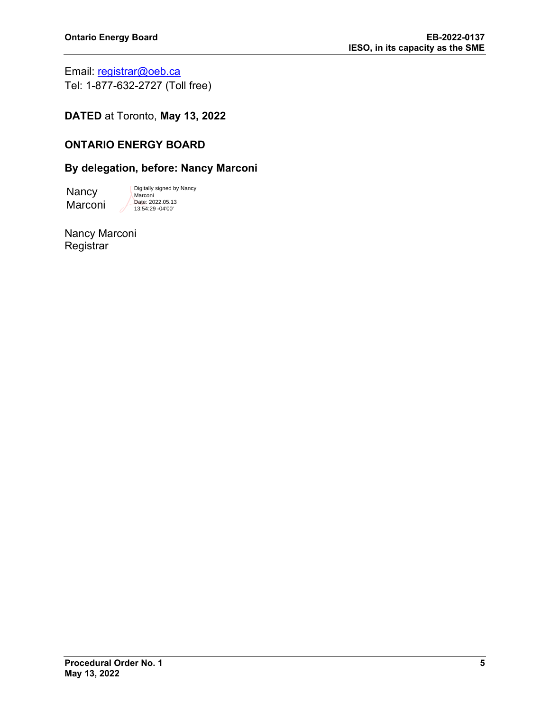Email: [registrar@oeb.ca](mailto:registrar@oeb.ca) Tel: 1-877-632-2727 (Toll free)

**DATED** at Toronto, **May 13, 2022**

## **ONTARIO ENERGY BOARD**

#### **By delegation, before: Nancy Marconi**

**Nancy** Marconi Digitally signed by Nancy Marconi Date: 2022.05.13 13:54:29 -04'00'

Nancy Marconi **Registrar**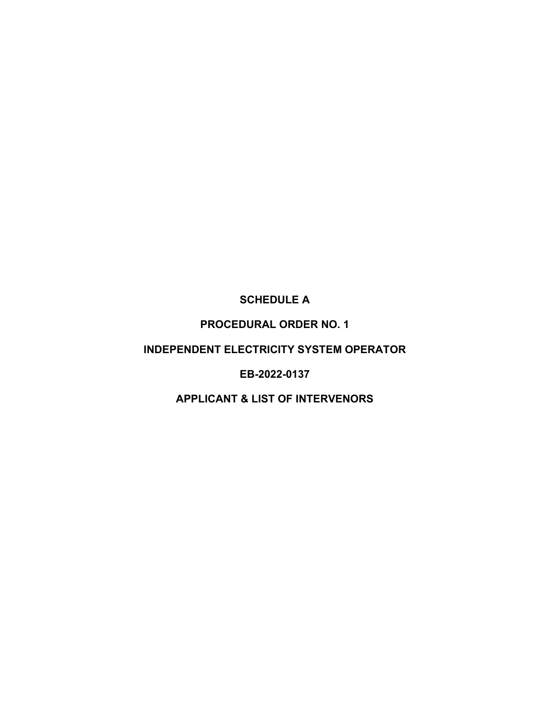# **SCHEDULE A**

# **PROCEDURAL ORDER NO. 1**

## **INDEPENDENT ELECTRICITY SYSTEM OPERATOR**

## **EB-2022-0137**

## **APPLICANT & LIST OF INTERVENORS**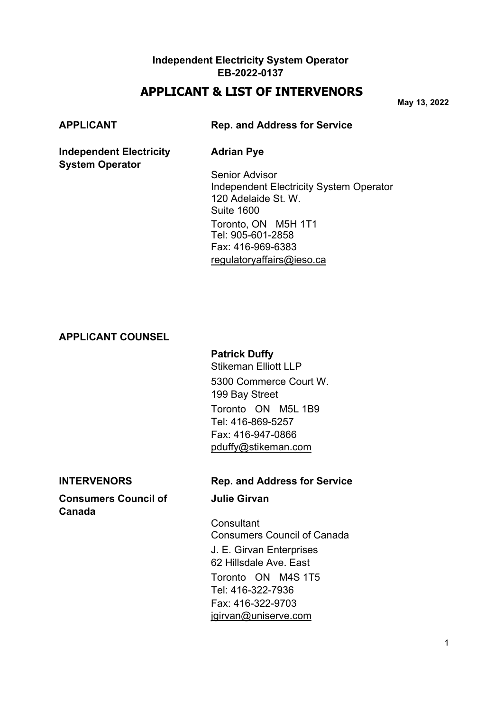# **APPLICANT & LIST OF INTERVENORS**

**May 13, 2022**

**System Operator**

#### **APPLICANT Rep. and Address for Service**

#### **Independent Electricity Adrian Pye**

Senior Advisor Independent Electricity System Operator 120 Adelaide St. W. Suite 1600 Toronto, ON M5H 1T1 Tel: 905-601-2858 Fax: 416-969-6383 [regulatoryaffairs@ieso.ca](mailto:regulatoryaffairs@ieso.ca)

#### **APPLICANT COUNSEL**

## **Patrick Duffy**

Stikeman Elliott LLP 5300 Commerce Court W. 199 Bay Street Toronto ON M5L 1B9 Tel: 416-869-5257 Fax: 416-947-0866 [pduffy@stikeman.com](mailto:pduffy@stikeman.com)

#### **Consumers Council of Figure 3 Julie Girvan Canada**

#### **INTERVENORS Rep. and Address for Service**

**Consultant** Consumers Council of Canada J. E. Girvan Enterprises 62 Hillsdale Ave. East Toronto ON M4S 1T5 Tel: 416-322-7936 Fax: 416-322-9703 [jgirvan@uniserve.com](mailto:jgirvan@uniserve.com)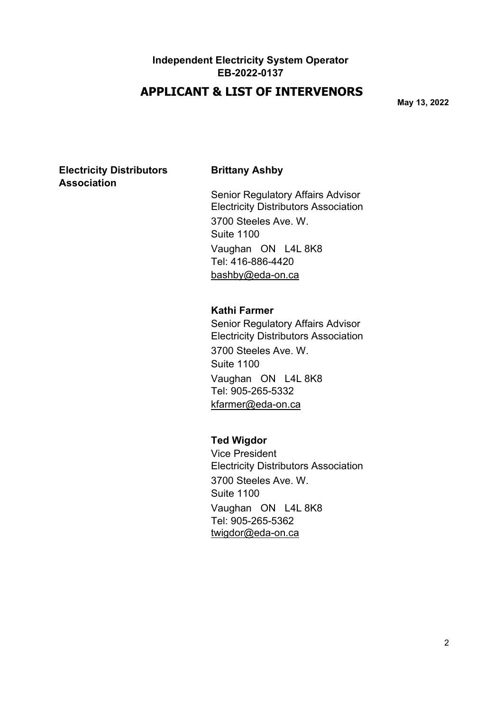# **APPLICANT & LIST OF INTERVENORS**

**May 13, 2022**

## **Electricity Distributors Brittany Ashby Association**

Senior Regulatory Affairs Advisor Electricity Distributors Association 3700 Steeles Ave. W. Suite 1100 Vaughan ON L4L 8K8 Tel: 416-886-4420 [bashby@eda-on.ca](mailto:bashby@edaon.ca)

#### **Kathi Farmer**

Senior Regulatory Affairs Advisor Electricity Distributors Association 3700 Steeles Ave. W. Suite 1100 Vaughan ON L4L 8K8 Tel: 905-265-5332 [kfarmer@eda-on.ca](mailto:kfarmer@edaon.ca)

#### **Ted Wigdor**

Vice President Electricity Distributors Association 3700 Steeles Ave. W. Suite 1100 Vaughan ON L4L 8K8 Tel: 905-265-5362 [twigdor@eda-on.ca](mailto:twigdor@edaon.ca)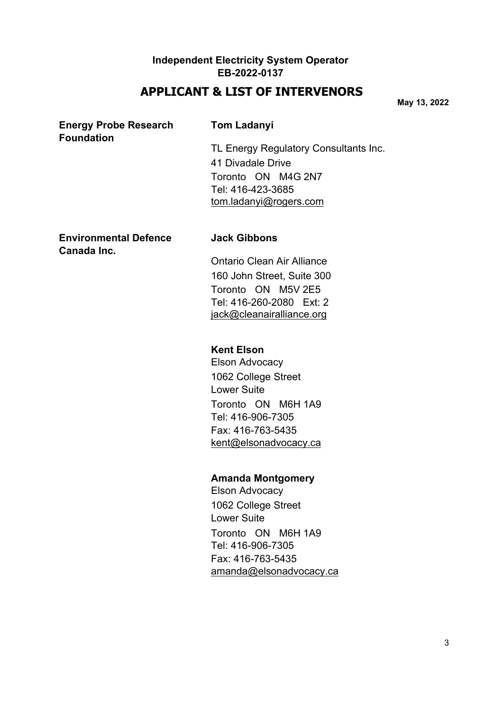# **APPLICANT & LIST OF INTERVENORS**

**May 13, 2022**

## **Energy Probe Research Tom Ladanyi Foundation**

TL Energy Regulatory Consultants Inc. 41 Divadale Drive Toronto ON M4G 2N7 Tel: 416-423-3685 [tom.ladanyi@rogers.com](mailto:tom.ladanyi@rogers.com)

## **Environmental Defence Jack Gibbons Canada Inc.**

Ontario Clean Air Alliance 160 John Street, Suite 300 Toronto ON M5V 2E5 Tel: 416-260-2080 Ext: 2 [jack@cleanairalliance.org](mailto:jack@cleanairalliance.org)

# **Kent Elson**

Elson Advocacy 1062 College Street Lower Suite Toronto ON M6H 1A9 Tel: 416-906-7305 Fax: 416-763-5435 [kent@elsonadvocacy.ca](mailto:kent@elsonadvocacy.ca)

# **Amanda Montgomery**

Elson Advocacy 1062 College Street Lower Suite Toronto ON M6H 1A9 Tel: 416-906-7305 Fax: 416-763-5435 [amanda@elsonadvocacy.ca](mailto:amanda@elsonadvocacy.ca)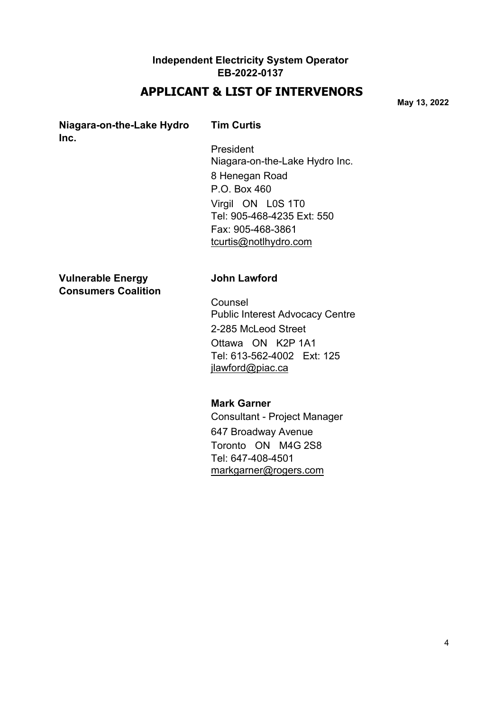# **APPLICANT & LIST OF INTERVENORS**

**May 13, 2022**

## **Niagara-on-the-Lake Hydro Tim Curtis Inc.**

President Niagara-on-the-Lake Hydro Inc. 8 Henegan Road P.O. Box 460 Virgil ON L0S 1T0 Tel: 905-468-4235 Ext: 550 Fax: 905-468-3861 [tcurtis@notlhydro.com](mailto:tcurtis@notlhydro.com)

**Vulnerable Energy John Lawford Consumers Coalition**

Counsel Public Interest Advocacy Centre 2-285 McLeod Street Ottawa ON K2P 1A1 Tel: 613-562-4002 Ext: 125 [jlawford@piac.ca](mailto:jlawford@piac.ca)

#### **Mark Garner**

Consultant - Project Manager 647 Broadway Avenue Toronto ON M4G 2S8 Tel: 647-408-4501 [markgarner@rogers.com](mailto:markgarner@rogers.com)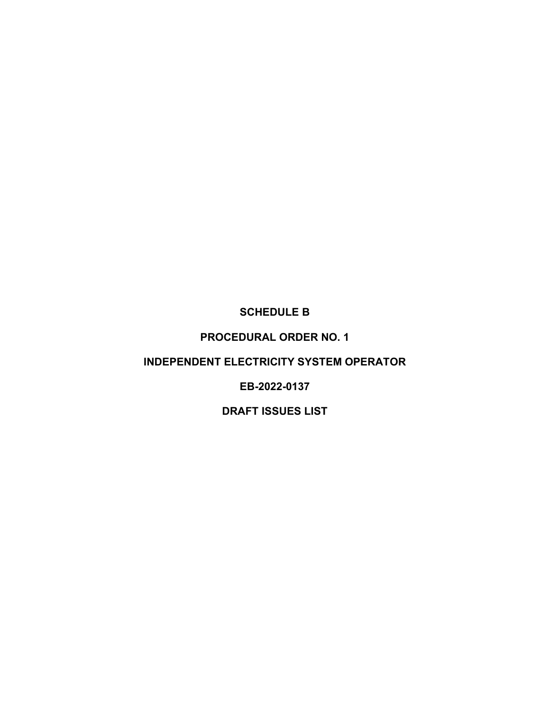## **SCHEDULE B**

## **PROCEDURAL ORDER NO. 1**

## **INDEPENDENT ELECTRICITY SYSTEM OPERATOR**

## **EB-2022-0137**

# **DRAFT ISSUES LIST**